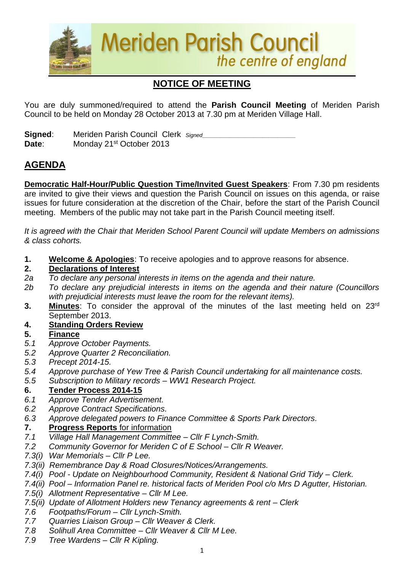

# **NOTICE OF MEETING**

You are duly summoned/required to attend the **Parish Council Meeting** of Meriden Parish Council to be held on Monday 28 October 2013 at 7.30 pm at Meriden Village Hall.

**Signed:** Meriden Parish Council Clerk *Signed* Date: Monday 21<sup>st</sup> October 2013

## **AGENDA**

**Democratic Half-Hour/Public Question Time/Invited Guest Speakers**: From 7.30 pm residents are invited to give their views and question the Parish Council on issues on this agenda, or raise issues for future consideration at the discretion of the Chair, before the start of the Parish Council meeting. Members of the public may not take part in the Parish Council meeting itself.

*It is agreed with the Chair that Meriden School Parent Council will update Members on admissions & class cohorts.*

**1. Welcome & Apologies**: To receive apologies and to approve reasons for absence.

### **2. Declarations of Interest**

- *2a To declare any personal interests in items on the agenda and their nature.*
- *2b To declare any prejudicial interests in items on the agenda and their nature (Councillors with prejudicial interests must leave the room for the relevant items).*
- **3.** Minutes: To consider the approval of the minutes of the last meeting held on 23<sup>rd</sup> September 2013.

### **4. Standing Orders Review**

### **5. Finance**

- *5.1 Approve October Payments.*
- *5.2 Approve Quarter 2 Reconciliation.*
- *5.3 Precept 2014-15.*
- *5.4 Approve purchase of Yew Tree & Parish Council undertaking for all maintenance costs.*
- *5.5 Subscription to Military records – WW1 Research Project.*

### **6. Tender Process 2014-15**

- *6.1 Approve Tender Advertisement.*
- *6.2 Approve Contract Specifications.*
- *6.3 Approve delegated powers to Finance Committee & Sports Park Directors.*
- **7. Progress Reports** for information
- *7.1 Village Hall Management Committee – Cllr F Lynch-Smith.*
- *7.2 Community Governor for Meriden C of E School – Cllr R Weaver.*
- *7.3(i) War Memorials – Cllr P Lee.*
- *7.3(ii) Remembrance Day & Road Closures/Notices/Arrangements.*
- *7.4(i) Pool - Update on Neighbourhood Community, Resident & National Grid Tidy – Clerk.*
- *7.4(ii) Pool – Information Panel re. historical facts of Meriden Pool c/o Mrs D Agutter, Historian.*
- *7.5(i) Allotment Representative – Cllr M Lee.*
- *7.5(ii) Update of Allotment Holders new Tenancy agreements & rent – Clerk*
- *7.6 Footpaths/Forum – Cllr Lynch-Smith.*
- *7.7 Quarries Liaison Group – Cllr Weaver & Clerk.*
- *7.8 Solihull Area Committee – Cllr Weaver & Cllr M Lee.*
- *7.9 Tree Wardens – Cllr R Kipling.*